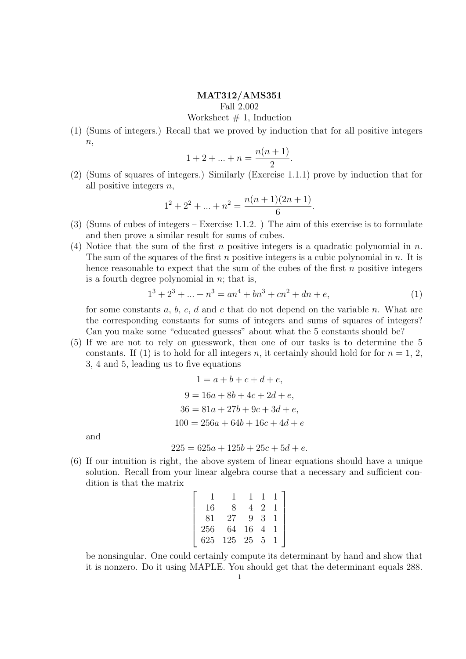## MAT312/AMS351

Fall 2,002

Worksheet  $# 1$ , Induction

(1) (Sums of integers.) Recall that we proved by induction that for all positive integers  $n,$ 

$$
1 + 2 + \dots + n = \frac{n(n+1)}{2}.
$$

(2) (Sums of squares of integers.) Similarly (Exercise 1.1.1) prove by induction that for all positive integers  $n$ ,

$$
1^{2} + 2^{2} + \dots + n^{2} = \frac{n(n+1)(2n+1)}{6}.
$$

- (3) (Sums of cubes of integers Exercise 1.1.2. ) The aim of this exercise is to formulate and then prove a similar result for sums of cubes.
- (4) Notice that the sum of the first n positive integers is a quadratic polynomial in  $n$ . The sum of the squares of the first n positive integers is a cubic polynomial in  $n$ . It is hence reasonable to expect that the sum of the cubes of the first  $n$  positive integers is a fourth degree polynomial in  $n$ ; that is,

$$
13 + 23 + ... + n3 = an4 + bn3 + cn2 + dn + e,
$$
 (1)

for some constants  $a, b, c, d$  and  $e$  that do not depend on the variable  $n$ . What are the corresponding constants for sums of integers and sums of squares of integers? Can you make some "educated guesses" about what the 5 constants should be?

(5) If we are not to rely on guesswork, then one of our tasks is to determine the 5 constants. If (1) is to hold for all integers n, it certainly should hold for for  $n = 1, 2$ , 3, 4 and 5, leading us to five equations

$$
1 = a + b + c + d + e,
$$
  
\n
$$
9 = 16a + 8b + 4c + 2d + e,
$$
  
\n
$$
36 = 81a + 27b + 9c + 3d + e,
$$
  
\n
$$
100 = 256a + 64b + 16c + 4d + e
$$

and

$$
225 = 625a + 125b + 25c + 5d + e.
$$

(6) If our intuition is right, the above system of linear equations should have a unique solution. Recall from your linear algebra course that a necessary and sufficient condition is that the matrix

|     | 16 |     |    |   |  |
|-----|----|-----|----|---|--|
|     | 81 | 27  | 9  | З |  |
| 256 |    | 64  | 16 |   |  |
| 625 |    | 125 | 25 | 5 |  |

be nonsingular. One could certainly compute its determinant by hand and show that it is nonzero. Do it using MAPLE. You should get that the determinant equals 288.